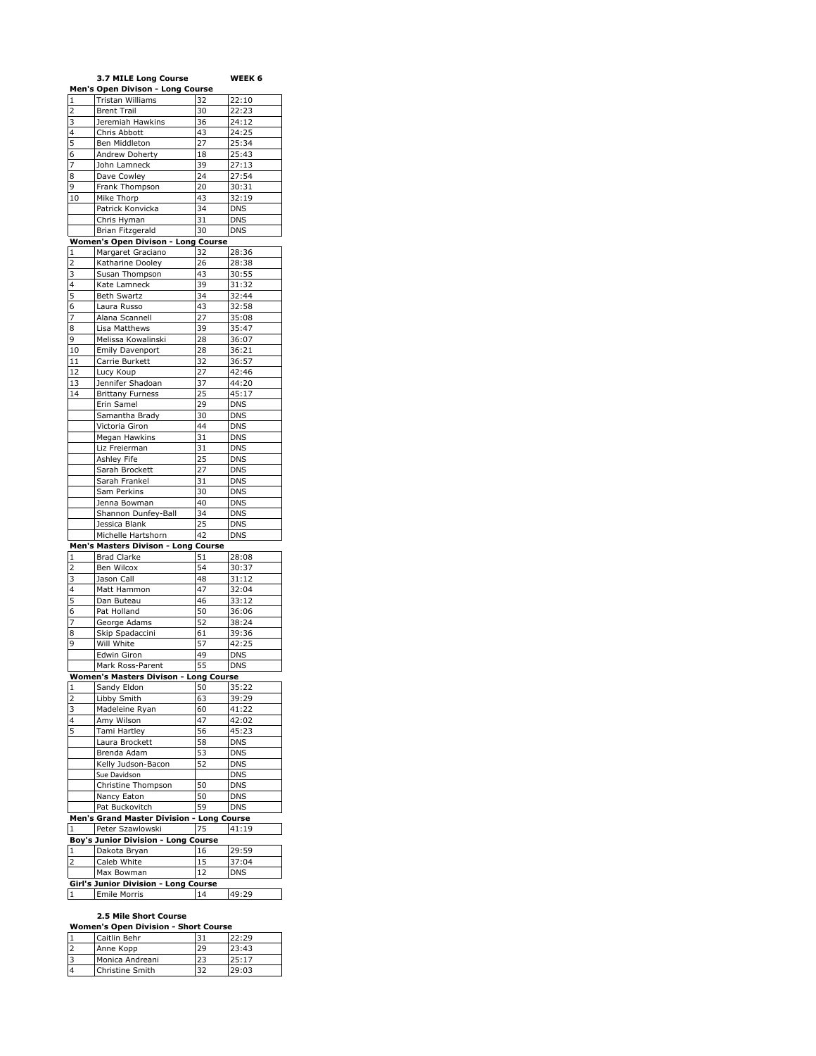|                | 3.7 MILE Long Course                      |          | WEEK 6                   |
|----------------|-------------------------------------------|----------|--------------------------|
|                | Men's Open Divison - Long Course          |          |                          |
| 1              | Tristan Williams                          | 32       | 22:10                    |
| 2              | <b>Brent Trail</b>                        | 30       | 22:23                    |
| 3              | Jeremiah Hawkins                          | 36       | 24:12                    |
| 4              | Chris Abbott                              | 43       | 24:25                    |
| 5              | Ben Middleton                             | 27       | 25:34                    |
| 6<br>7         | Andrew Doherty                            | 18       | 25:43                    |
| 8              | John Lamneck<br>Dave Cowley               | 39<br>24 | 27:13<br>27:54           |
| 9              | Frank Thompson                            | 20       | 30:31                    |
| 10             | Mike Thorp                                | 43       | 32:19                    |
|                | Patrick Konvicka                          | 34       | <b>DNS</b>               |
|                | Chris Hyman                               | 31       | <b>DNS</b>               |
|                | Brian Fitzgerald                          | 30       | <b>DNS</b>               |
|                | Women's Open Divison - Long Course        |          |                          |
| 1              | Margaret Graciano                         | 32       | 28:36                    |
| 2              | Katharine Dooley                          | 26       | 28:38                    |
| 3              | Susan Thompson                            | 43       | 30:55                    |
| $\overline{4}$ | Kate Lamneck                              | 39       | 31:32                    |
| 5              | <b>Beth Swartz</b>                        | 34       | 32:44                    |
| 6              | Laura Russo                               | 43       | 32:58                    |
| 7              | Alana Scannell                            | 27       | 35:08                    |
| 8              | Lisa Matthews                             | 39       | 35:47                    |
| 9              | Melissa Kowalinski                        | 28       | 36:07                    |
| 10             | <b>Emily Davenport</b>                    | 28       | 36:21                    |
| 11             | Carrie Burkett                            | 32       | 36:57                    |
| 12             | Lucy Koup                                 | 27       | 42:46                    |
| 13<br>14       | Jennifer Shadoan                          | 37       | 44:20                    |
|                | <b>Brittany Furness</b><br>Erin Samel     | 25<br>29 | 45:17<br><b>DNS</b>      |
|                | Samantha Brady                            | 30       | <b>DNS</b>               |
|                | Victoria Giron                            | 44       | <b>DNS</b>               |
|                | Megan Hawkins                             | 31       | DNS                      |
|                | Liz Freierman                             | 31       | <b>DNS</b>               |
|                | Ashley Fife                               | 25       | DNS                      |
|                | Sarah Brockett                            | 27       | <b>DNS</b>               |
|                | Sarah Frankel                             | 31       | <b>DNS</b>               |
|                | Sam Perkins                               | 30       | <b>DNS</b>               |
|                | Jenna Bowman                              | 40       | <b>DNS</b>               |
|                | Shannon Dunfey-Ball                       | 34       | <b>DNS</b>               |
|                | Jessica Blank                             | 25       | <b>DNS</b>               |
|                | Michelle Hartshorn                        | 42       | DNS                      |
|                | Men's Masters Divison - Long Course       |          |                          |
| $\mathbf{1}$   | <b>Brad Clarke</b>                        | 51       | 28:08                    |
| 2              | Ben Wilcox                                | 54       | 30:37                    |
| 3              | Jason Call                                | 48       | 31:12                    |
| 4              | Matt Hammon                               | 47       | 32:04                    |
| 5              | Dan Buteau                                | 46       | 33:12                    |
| 6              | Pat Holland                               | 50       | 36:06                    |
| 7              | George Adams                              | 52       | 38:24                    |
| 8<br>9         | Skip Spadaccini                           | 61       | 39:36                    |
|                | Will White                                | 57       | 42:25                    |
|                | Edwin Giron<br>Mark Ross-Parent           | 49<br>55 | <b>DNS</b><br><b>DNS</b> |
|                | Women's Masters Divison - Long Course     |          |                          |
| 1              | Sandy Eldon                               | 50       | 35:22                    |
| 2              | Libby Smith                               | 63       | 39:29                    |
| 3              | Madeleine Ryan                            | 60       | 41:22                    |
| 4              | Amy Wilson                                | 47       | 42:02                    |
| 5              | Tami Hartley                              | 56       | 45:23                    |
|                | Laura Brockett                            | 58       | DNS                      |
|                | Brenda Adam                               | 53       | <b>DNS</b>               |
|                | Kelly Judson-Bacon                        | 52       | <b>DNS</b>               |
|                | Sue Davidson                              |          | <b>DNS</b>               |
|                | Christine Thompson                        | 50       | <b>DNS</b>               |
|                | Nancy Eaton                               | 50       | <b>DNS</b>               |
|                | Pat Buckovitch                            | 59       | DNS                      |
|                | Men's Grand Master Division - Long Course |          |                          |
| $\mathbf 1$    | Peter Szawlowski                          | 75       | 41:19                    |
|                | Boy's Junior Division - Long Course       |          |                          |
| 1              | Dakota Bryan                              | 16       | 29:59                    |
| $\mathsf 2$    | Caleb White                               | 15       | 37:04                    |
|                | Max Bowman                                | 12       | <b>DNS</b>               |
|                | Girl's Junior Division - Long Course      |          |                          |
| 1              | Emile Morris                              | 14       | 49:29                    |

#### **2.5 Mile Short Course**

| <b>Women's Open Division - Short Course</b> |                 |    |       |
|---------------------------------------------|-----------------|----|-------|
|                                             | Caitlin Behr    | 31 | 22:29 |
| $\overline{2}$                              | Anne Kopp       | 29 | 23:43 |
| 3                                           | Monica Andreani | 23 | 25:17 |
| $\overline{4}$                              | Christine Smith | 32 | 29:03 |